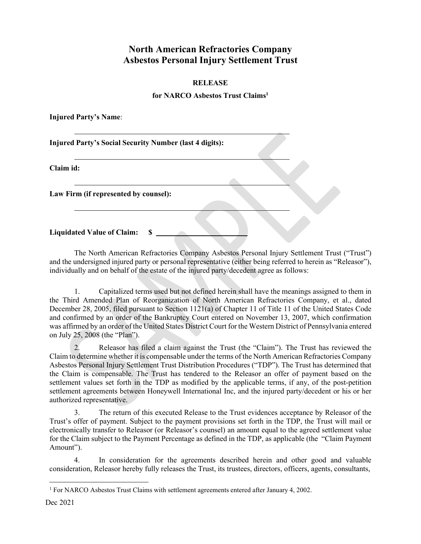## **North American Refractories Company Asbestos Personal Injury Settlement Trust**

## **RELEASE**

## **for NARCO Asbestos Trust Claim[s1](#page-0-0)**

**Injured Party's Name**:

**Injured Party's Social Security Number (last 4 digits):**

**Claim id:**

**Law Firm (if represented by counsel):**

**Liquidated Value of Claim: \$** 

The North American Refractories Company Asbestos Personal Injury Settlement Trust ("Trust") and the undersigned injured party or personal representative (either being referred to herein as "Releasor"), individually and on behalf of the estate of the injured party/decedent agree as follows:

1. Capitalized terms used but not defined herein shall have the meanings assigned to them in the Third Amended Plan of Reorganization of North American Refractories Company, et al., dated December 28, 2005, filed pursuant to Section 1121(a) of Chapter 11 of Title 11 of the United States Code and confirmed by an order of the Bankruptcy Court entered on November 13, 2007, which confirmation was affirmed by an order of the United States District Court for the Western District of Pennsylvania entered on July 25, 2008 (the "Plan").

2. Releasor has filed a claim against the Trust (the "Claim"). The Trust has reviewed the Claim to determine whether it is compensable under the terms of the North American Refractories Company Asbestos Personal Injury Settlement Trust Distribution Procedures ("TDP"). The Trust has determined that the Claim is compensable. The Trust has tendered to the Releasor an offer of payment based on the settlement values set forth in the TDP as modified by the applicable terms, if any, of the post-petition settlement agreements between Honeywell International Inc, and the injured party/decedent or his or her authorized representative.

3. The return of this executed Release to the Trust evidences acceptance by Releasor of the Trust's offer of payment. Subject to the payment provisions set forth in the TDP, the Trust will mail or electronically transfer to Releasor (or Releasor's counsel) an amount equal to the agreed settlement value for the Claim subject to the Payment Percentage as defined in the TDP, as applicable (the "Claim Payment Amount").

4. In consideration for the agreements described herein and other good and valuable consideration, Releasor hereby fully releases the Trust, its trustees, directors, officers, agents, consultants,

<span id="page-0-0"></span><sup>1</sup> For NARCO Asbestos Trust Claims with settlement agreements entered after January 4, 2002.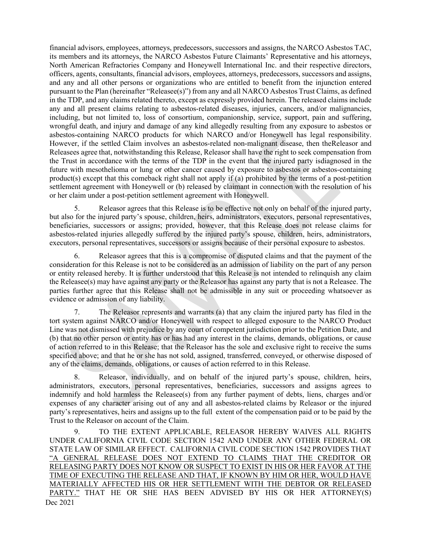financial advisors, employees, attorneys, predecessors, successors and assigns, the NARCO Asbestos TAC, its members and its attorneys, the NARCO Asbestos Future Claimants' Representative and his attorneys, North American Refractories Company and Honeywell International Inc. and their respective directors, officers, agents, consultants, financial advisors, employees, attorneys, predecessors, successors and assigns, and any and all other persons or organizations who are entitled to benefit from the injunction entered pursuant to the Plan (hereinafter "Releasee(s)") from any and all NARCO Asbestos Trust Claims, as defined in the TDP, and any claims related thereto, except as expressly provided herein. The released claims include any and all present claims relating to asbestos-related diseases, injuries, cancers, and/or malignancies, including, but not limited to, loss of consortium, companionship, service, support, pain and suffering, wrongful death, and injury and damage of any kind allegedly resulting from any exposure to asbestos or asbestos-containing NARCO products for which NARCO and/or Honeywell has legal responsibility. However, if the settled Claim involves an asbestos-related non-malignant disease, then theReleasor and Releasees agree that, notwithstanding this Release, Releasor shall have the right to seek compensation from the Trust in accordance with the terms of the TDP in the event that the injured party isdiagnosed in the future with mesothelioma or lung or other cancer caused by exposure to asbestos or asbestos-containing product(s) except that this comeback right shall not apply if (a) prohibited by the terms of a post-petition settlement agreement with Honeywell or (b) released by claimant in connection with the resolution of his or her claim under a post-petition settlement agreement with Honeywell.

5. Releasor agrees that this Release is to be effective not only on behalf of the injured party, but also for the injured party's spouse, children, heirs, administrators, executors, personal representatives, beneficiaries, successors or assigns; provided, however, that this Release does not release claims for asbestos-related injuries allegedly suffered by the injured party's spouse, children, heirs, administrators, executors, personal representatives, successors or assigns because of their personal exposure to asbestos.

6. Releasor agrees that this is a compromise of disputed claims and that the payment of the consideration for this Release is not to be considered as an admission of liability on the part of any person or entity released hereby. It is further understood that this Release is not intended to relinquish any claim the Releasee(s) may have against any party or the Releasor has against any party that is not a Releasee. The parties further agree that this Release shall not be admissible in any suit or proceeding whatsoever as evidence or admission of any liability.

7. The Releasor represents and warrants (a) that any claim the injured party has filed in the tort system against NARCO and/or Honeywell with respect to alleged exposure to the NARCO Product Line was not dismissed with prejudice by any court of competent jurisdiction prior to the Petition Date, and (b) that no other person or entity has or has had any interest in the claims, demands, obligations, or cause of action referred to in this Release; that the Releasor has the sole and exclusive right to receive the sums specified above; and that he or she has not sold, assigned, transferred, conveyed, or otherwise disposed of any of the claims, demands, obligations, or causes of action referred to in this Release.

8. Releasor, individually, and on behalf of the injured party's spouse, children, heirs, administrators, executors, personal representatives, beneficiaries, successors and assigns agrees to indemnify and hold harmless the Releasee(s) from any further payment of debts, liens, charges and/or expenses of any character arising out of any and all asbestos-related claims by Releasor or the injured party's representatives, heirs and assigns up to the full extent of the compensation paid or to be paid by the Trust to the Releasor on account of the Claim.

Dec 2021 9. TO THE EXTENT APPLICABLE, RELEASOR HEREBY WAIVES ALL RIGHTS UNDER CALIFORNIA CIVIL CODE SECTION 1542 AND UNDER ANY OTHER FEDERAL OR STATE LAW OF SIMILAR EFFECT. CALIFORNIA CIVIL CODE SECTION 1542 PROVIDES THAT "A GENERAL RELEASE DOES NOT EXTEND TO CLAIMS THAT THE CREDITOR OR RELEASING PARTY DOES NOT KNOW OR SUSPECT TO EXIST IN HIS OR HER FAVOR AT THE TIME OF EXECUTING THE RELEASE AND THAT, IF KNOWN BY HIM OR HER, WOULD HAVE MATERIALLY AFFECTED HIS OR HER SETTLEMENT WITH THE DEBTOR OR RELEASED PARTY." THAT HE OR SHE HAS BEEN ADVISED BY HIS OR HER ATTORNEY(S)